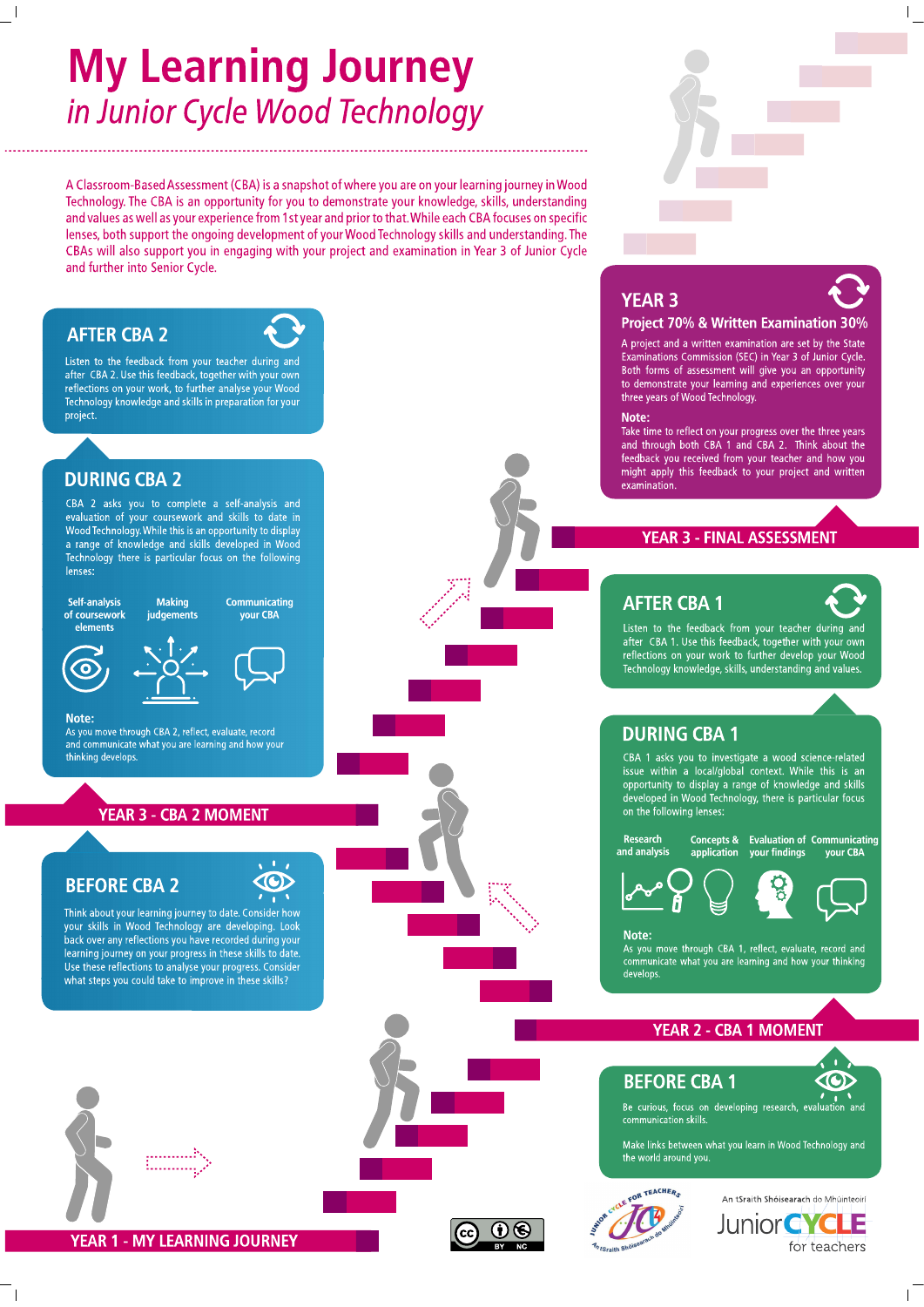# **My Learning Journey** in Junior Cycle Wood Technology

A Classroom-Based Assessment (CBA) is a snapshot of where you are on your learning journey in Wood Technology. The CBA is an opportunity for you to demonstrate your knowledge, skills, understanding and values as well as your experience from 1st year and prior to that. While each CBA focuses on specific lenses, both support the ongoing development of your Wood Technology skills and understanding. The CBAs will also support you in engaging with your project and examination in Year 3 of Junior Cycle and further into Senior Cycle.

### **AFTER CBA 2**

Listen to the feedback from your teacher during and after CBA 2. Use this feedback, together with your own reflections on your work, to further analyse your Wood Technology knowledge and skills in preparation for your project.

### **DURING CBA 2**

CBA 2 asks you to complete a self-analysis and evaluation of your coursework and skills to date in Wood Technology. While this is an opportunity to display a range of knowledge and skills developed in Wood Technology there is particular focus on the following lenses:

### Self-analysis of coursework elements

**Making** Communicating your CBA judgements





### Note:

As you move through CBA 2, reflect, evaluate, record and communicate what you are learning and how your thinking develops

### **YEAR 3 - CBA 2 MOMENT**

### **BEFORE CBA 2**

Think about your learning journey to date. Consider how your skills in Wood Technology are developing. Look back over any reflections you have recorded during your learning journey on your progress in these skills to date. Use these reflections to analyse your progress. Consider what steps you could take to improve in these skills?





# **YEAR 3**



### Project 70% & Written Examination 30%

A project and a written examination are set by the State Examinations Commission (SEC) in Year 3 of Junior Cycle. Both forms of assessment will give you an opportunity to demonstrate your learning and experiences over your three years of Wood Technology.

### Note:

Take time to reflect on your progress over the three years and through both CBA 1 and CBA 2. Think about the feedback you received from your teacher and how you might apply this feedback to your project and written examination

### **YEAR 3 - FINAL ASSESSMENT**

### **AFTER CBA 1**



your CBA

Listen to the feedback from your teacher during and<br>after CBA 1. Use this feedback, together with your own reflections on your work to further develop your Wood<br>Technology knowledge, skills, understanding and values.

### **DURING CBA 1**

CBA 1 asks you to investigate a wood science-related issue within a local/global context. While this is an opportunity to display a range of knowledge and skills<br>developed in Wood Technology, there is particular focus on the following lenses:



**Concepts & Evaluation of Communicating** application vour findings



### Note:

As you move through CBA 1, reflect, evaluate, record and communicate what you are learning and how your thinking develops

### **YEAR 2 - CBA 1 MOMENT**

**BEFORE CBA 1** 

OR TEACHERS



Be curious, focus on developing research, evaluation and communication skills.

Make links between what you learn in Wood Technology and the world around you